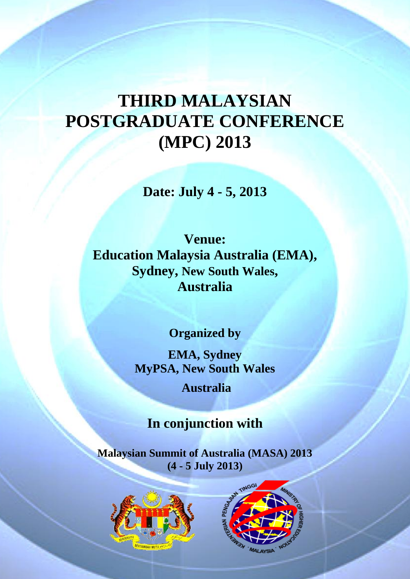# **THIRD MALAYSIAN POSTGRADUATE CONFERENCE (MPC) 2013**

**Date: July 4 - 5, 2013**

**Venue: Education Malaysia Australia (EMA), Sydney, New South Wales, Australia**

**Organized by**

**EMA, Sydney MyPSA, New South Wales Australia**

**In conjunction with** 

**Malaysian Summit of Australia (MASA) 2013 (4 - 5 July 2013)**



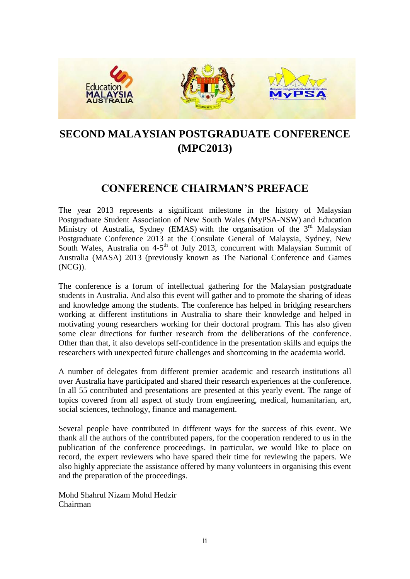

# **SECOND MALAYSIAN POSTGRADUATE CONFERENCE (MPC2013)**

# **CONFERENCE CHAIRMAN'S PREFACE**

The year 2013 represents a significant milestone in the history of Malaysian Postgraduate Student Association of New South Wales (MyPSA-NSW) and Education Ministry of Australia, Sydney (EMAS) with the organisation of the  $3<sup>rd</sup>$  Malaysian Postgraduate Conference 2013 at the Consulate General of Malaysia, Sydney, New South Wales, Australia on 4-5<sup>th</sup> of July 2013, concurrent with Malaysian Summit of Australia (MASA) 2013 (previously known as The National Conference and Games (NCG)).

The conference is a forum of intellectual gathering for the Malaysian postgraduate students in Australia. And also this event will gather and to promote the sharing of ideas and knowledge among the students. The conference has helped in bridging researchers working at different institutions in Australia to share their knowledge and helped in motivating young researchers working for their doctoral program. This has also given some clear directions for further research from the deliberations of the conference. Other than that, it also develops self-confidence in the presentation skills and equips the researchers with unexpected future challenges and shortcoming in the academia world.

A number of delegates from different premier academic and research institutions all over Australia have participated and shared their research experiences at the conference. In all 55 contributed and presentations are presented at this yearly event. The range of topics covered from all aspect of study from engineering, medical, humanitarian, art, social sciences, technology, finance and management.

Several people have contributed in different ways for the success of this event. We thank all the authors of the contributed papers, for the cooperation rendered to us in the publication of the conference proceedings. In particular, we would like to place on record, the expert reviewers who have spared their time for reviewing the papers. We also highly appreciate the assistance offered by many volunteers in organising this event and the preparation of the proceedings.

Mohd Shahrul Nizam Mohd Hedzir Chairman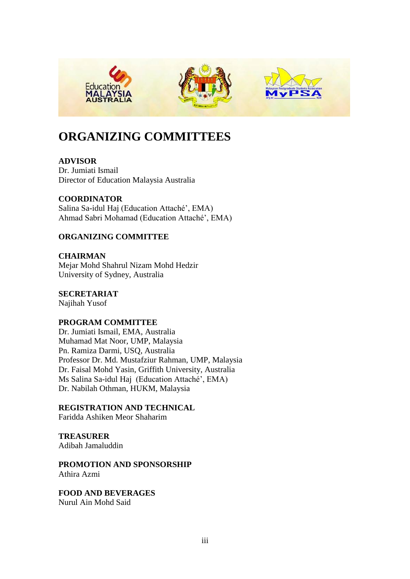

# **ORGANIZING COMMITTEES**

**ADVISOR** Dr. Jumiati Ismail Director of Education Malaysia Australia

**COORDINATOR**  Salina Sa-idul Haj (Education Attaché', EMA) Ahmad Sabri Mohamad (Education Attaché', EMA)

# **ORGANIZING COMMITTEE**

**CHAIRMAN** Mejar Mohd Shahrul Nizam Mohd Hedzir University of Sydney, Australia

**SECRETARIAT**

Najihah Yusof

# **PROGRAM COMMITTEE**

Dr. Jumiati Ismail, EMA, Australia Muhamad Mat Noor, UMP, Malaysia Pn. Ramiza Darmi, USQ, Australia Professor Dr. Md. Mustafziur Rahman, UMP, Malaysia Dr. Faisal Mohd Yasin, Griffith University, Australia Ms Salina Sa-idul Haj (Education Attaché', EMA) Dr. Nabilah Othman, HUKM, Malaysia

**REGISTRATION AND TECHNICAL**

Faridda Ashiken Meor Shaharim

**TREASURER** Adibah Jamaluddin

**PROMOTION AND SPONSORSHIP** Athira Azmi

**FOOD AND BEVERAGES** Nurul Ain Mohd Said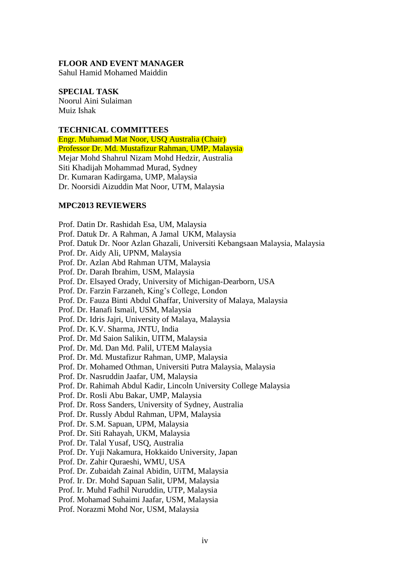#### **FLOOR AND EVENT MANAGER**

Sahul Hamid Mohamed Maiddin

#### **SPECIAL TASK**

Noorul Aini Sulaiman Muiz Ishak

#### **TECHNICAL COMMITTEES**

Engr. Muhamad Mat Noor, USQ Australia (Chair) Professor Dr. Md. Mustafizur Rahman, UMP, Malaysia Mejar Mohd Shahrul Nizam Mohd Hedzir, Australia Siti Khadijah Mohammad Murad, Sydney Dr. Kumaran Kadirgama, UMP, Malaysia Dr. Noorsidi Aizuddin Mat Noor, UTM, Malaysia

#### **MPC2013 REVIEWERS**

Prof. Datin Dr. Rashidah Esa, UM, Malaysia

- Prof. Datuk Dr. A Rahman, A Jamal UKM, Malaysia
- Prof. Datuk Dr. Noor Azlan Ghazali, Universiti Kebangsaan Malaysia, Malaysia
- Prof. Dr. Aidy Ali, UPNM, Malaysia
- Prof. Dr. Azlan Abd Rahman UTM, Malaysia
- Prof. Dr. Darah Ibrahim, USM, Malaysia
- Prof. Dr. Elsayed Orady, University of Michigan-Dearborn, USA
- Prof. Dr. Farzin Farzaneh, King's College, London
- Prof. Dr. Fauza Binti Abdul Ghaffar, University of Malaya, Malaysia
- Prof. Dr. Hanafi Ismail, USM, Malaysia
- Prof. Dr. Idris Jajri, University of Malaya, Malaysia
- Prof. Dr. K.V. Sharma, JNTU, India
- Prof. Dr. Md Saion Salikin, UITM, Malaysia
- Prof. Dr. Md. Dan Md. Palil, UTEM Malaysia
- Prof. Dr. Md. Mustafizur Rahman, UMP, Malaysia
- Prof. Dr. Mohamed Othman, Universiti Putra Malaysia, Malaysia
- Prof. Dr. Nasruddin Jaafar, UM, Malaysia
- Prof. Dr. Rahimah Abdul Kadir, Lincoln University College Malaysia
- Prof. Dr. Rosli Abu Bakar, UMP, Malaysia
- Prof. Dr. Ross Sanders, University of Sydney, Australia
- Prof. Dr. Russly Abdul Rahman, UPM, Malaysia
- Prof. Dr. S.M. Sapuan, UPM, Malaysia
- Prof. Dr. Siti Rahayah, UKM, Malaysia
- Prof. Dr. Talal Yusaf, USQ, Australia
- Prof. Dr. Yuji Nakamura, Hokkaido University, Japan
- Prof. Dr. Zahir Quraeshi, WMU, USA
- Prof. Dr. Zubaidah Zainal Abidin, UiTM, Malaysia
- Prof. Ir. Dr. Mohd Sapuan Salit, UPM, Malaysia
- Prof. Ir. Muhd Fadhil Nuruddin, UTP, Malaysia
- Prof. Mohamad Suhaimi Jaafar, USM, Malaysia
- Prof. Norazmi Mohd Nor, USM, Malaysia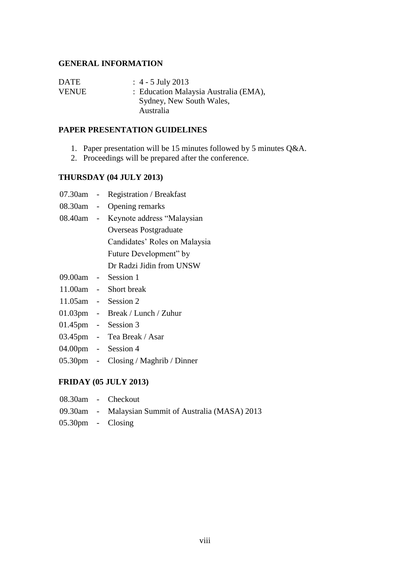### **GENERAL INFORMATION**

| <b>DATE</b>  | $\therefore$ 4 - 5 July 2013          |
|--------------|---------------------------------------|
| <b>VENUE</b> | : Education Malaysia Australia (EMA), |
|              | Sydney, New South Wales,              |
|              | Australia                             |

#### **PAPER PRESENTATION GUIDELINES**

- 1. Paper presentation will be 15 minutes followed by 5 minutes Q&A.
- 2. Proceedings will be prepared after the conference.

# **THURSDAY (04 JULY 2013)**

- 07.30am Registration / Breakfast
- 08.30am Opening remarks
- 08.40am Keynote address "Malaysian Overseas Postgraduate Candidates' Roles on Malaysia Future Development" by Dr Radzi Jidin from UNSW
- 09.00am Session 1
- 11.00am Short break
- 11.05am Session 2
- 01.03pm Break / Lunch / Zuhur
- 01.45pm Session 3
- 03.45pm Tea Break / Asar
- 04.00pm Session 4
- 05.30pm Closing / Maghrib / Dinner

# **FRIDAY (05 JULY 2013)**

- 08.30am Checkout
- 09.30am Malaysian Summit of Australia (MASA) 2013
- 05.30pm Closing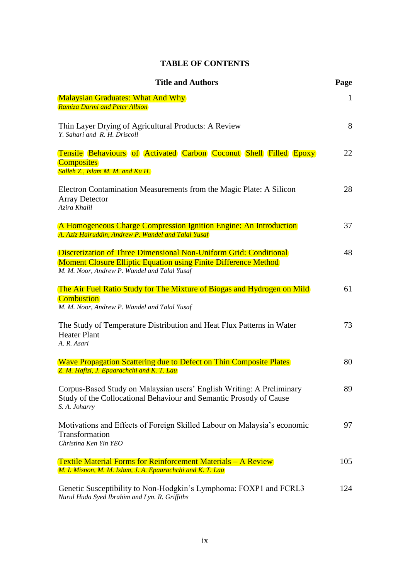# **TABLE OF CONTENTS**

| <b>Title and Authors</b>                                                                                                                                                                    | Page         |
|---------------------------------------------------------------------------------------------------------------------------------------------------------------------------------------------|--------------|
| <b>Malaysian Graduates: What And Why</b><br>Ramiza Darmi and Peter Albion                                                                                                                   | $\mathbf{1}$ |
| Thin Layer Drying of Agricultural Products: A Review<br>Y. Sahari and R. H. Driscoll                                                                                                        | 8            |
| <b>Tensile Behaviours of Activated Carbon Coconut Shell Filled Epoxy</b><br><b>Composites</b><br>Salleh Z., Islam M. M. and Ku H.                                                           | 22           |
| Electron Contamination Measurements from the Magic Plate: A Silicon<br><b>Array Detector</b><br>Azira Khalil                                                                                | 28           |
| A Homogeneous Charge Compression Ignition Engine: An Introduction<br>A. Aziz Hairuddin, Andrew P. Wandel and Talal Yusaf                                                                    | 37           |
| Discretization of Three Dimensional Non-Uniform Grid: Conditional<br><b>Moment Closure Elliptic Equation using Finite Difference Method</b><br>M. M. Noor, Andrew P. Wandel and Talal Yusaf | 48           |
| The Air Fuel Ratio Study for The Mixture of Biogas and Hydrogen on Mild<br><b>Combustion</b><br>M. M. Noor, Andrew P. Wandel and Talal Yusaf                                                | 61           |
| The Study of Temperature Distribution and Heat Flux Patterns in Water<br><b>Heater Plant</b><br>A. R. Asari                                                                                 | 73           |
| <b>Wave Propagation Scattering due to Defect on Thin Composite Plates</b><br>Z. M. Hafizi, J. Epaarachchi and K. T. Lau                                                                     | 80           |
| Corpus-Based Study on Malaysian users' English Writing: A Preliminary<br>Study of the Collocational Behaviour and Semantic Prosody of Cause<br>S. A. Joharry                                | 89           |
| Motivations and Effects of Foreign Skilled Labour on Malaysia's economic<br>Transformation<br>Christina Ken Yin YEO                                                                         | 97           |
| <b>Textile Material Forms for Reinforcement Materials – A Review</b>                                                                                                                        | 105          |
| M. I. Misnon, M. M. Islam, J. A. Epaarachchi and K. T. Lau<br>Genetic Susceptibility to Non-Hodgkin's Lymphoma: FOXP1 and FCRL3<br>Nurul Huda Syed Ibrahim and Lyn. R. Griffiths            | 124          |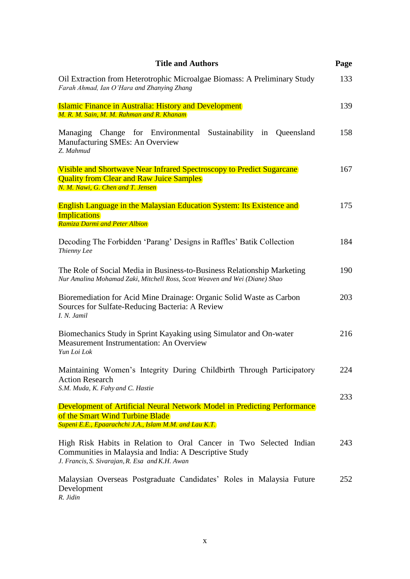| <b>Title and Authors</b>                                                                                                                                                       | Page |
|--------------------------------------------------------------------------------------------------------------------------------------------------------------------------------|------|
| Oil Extraction from Heterotrophic Microalgae Biomass: A Preliminary Study<br>Farah Ahmad, Ian O'Hara and Zhanying Zhang                                                        | 133  |
| <b>Islamic Finance in Australia: History and Development</b>                                                                                                                   | 139  |
| M. R. M. Sain, M. M. Rahman and R. Khanam                                                                                                                                      |      |
| Managing Change for Environmental Sustainability in Queensland<br>Manufacturing SMEs: An Overview<br>Z. Mahmud                                                                 | 158  |
| <b>Visible and Shortwave Near Infrared Spectroscopy to Predict Sugarcane</b><br><b>Quality from Clear and Raw Juice Samples</b><br>N. M. Nawi, G. Chen and T. Jensen           | 167  |
| <b>English Language in the Malaysian Education System: Its Existence and</b><br><b>Implications</b><br>Ramiza Darmi and Peter Albion                                           | 175  |
| Decoding The Forbidden 'Parang' Designs in Raffles' Batik Collection<br>Thienny Lee                                                                                            | 184  |
| The Role of Social Media in Business-to-Business Relationship Marketing<br>Nur Amalina Mohamad Zaki, Mitchell Ross, Scott Weaven and Wei (Diane) Shao                          | 190  |
| Bioremediation for Acid Mine Drainage: Organic Solid Waste as Carbon<br>Sources for Sulfate-Reducing Bacteria: A Review<br>I. N. Jamil                                         | 203  |
| Biomechanics Study in Sprint Kayaking using Simulator and On-water<br>Measurement Instrumentation: An Overview<br>Yun Loi Lok                                                  | 216  |
| Maintaining Women's Integrity During Childbirth Through Participatory<br><b>Action Research</b><br>S.M. Muda, K. Fahy and C. Hastie                                            | 224  |
|                                                                                                                                                                                | 233  |
| <b>Development of Artificial Neural Network Model in Predicting Performance</b><br>of the Smart Wind Turbine Blade<br>Supeni E.E., Epaarachchi J.A., Islam M.M. and Lau K.T.   |      |
| High Risk Habits in Relation to Oral Cancer in Two Selected Indian<br>Communities in Malaysia and India: A Descriptive Study<br>J. Francis, S. Sivarajan, R. Esa and K.H. Awan | 243  |
| Malaysian Overseas Postgraduate Candidates' Roles in Malaysia Future<br>Development<br>R. Jidin                                                                                | 252  |